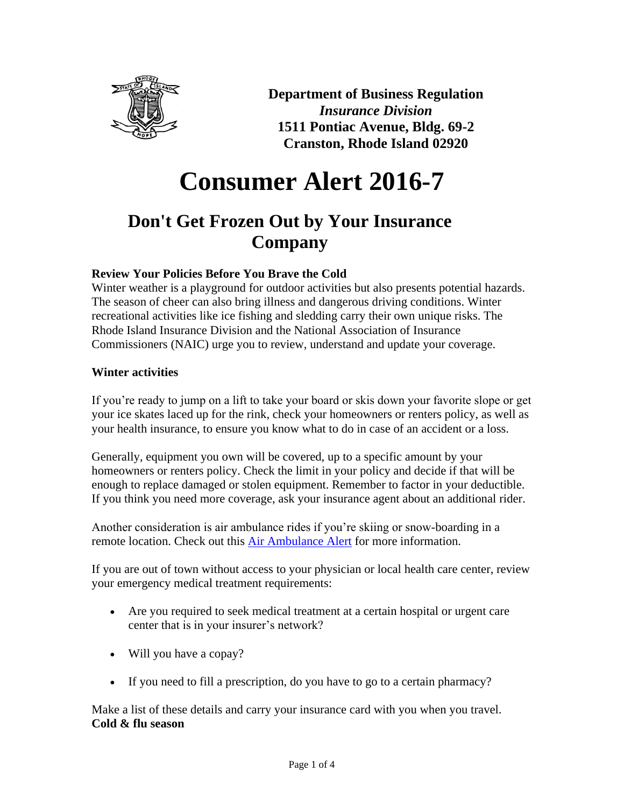

**Department of Business Regulation** *Insurance Division* **1511 Pontiac Avenue, Bldg. 69-2 Cranston, Rhode Island 02920**

# **Consumer Alert 2016-7**

# **Don't Get Frozen Out by Your Insurance Company**

# **Review Your Policies Before You Brave the Cold**

Winter weather is a playground for outdoor activities but also presents potential hazards. The season of cheer can also bring illness and dangerous driving conditions. Winter recreational activities like ice fishing and sledding carry their own unique risks. The Rhode Island Insurance Division and the National Association of Insurance Commissioners (NAIC) urge you to review, understand and update your coverage.

# **Winter activities**

If you're ready to jump on a lift to take your board or skis down your favorite slope or get your ice skates laced up for the rink, check your homeowners or renters policy, as well as your health insurance, to ensure you know what to do in case of an accident or a loss.

Generally, equipment you own will be covered, up to a specific amount by your homeowners or renters policy. Check the limit in your policy and decide if that will be enough to replace damaged or stolen equipment. Remember to factor in your deductible. If you think you need more coverage, ask your insurance agent about an additional rider.

Another consideration is air ambulance rides if you're skiing or snow-boarding in a remote location. Check out this **Air Ambulance Alert** for more information.

If you are out of town without access to your physician or local health care center, review your emergency medical treatment requirements:

- Are you required to seek medical treatment at a certain hospital or urgent care center that is in your insurer's network?
- Will you have a copay?
- If you need to fill a prescription, do you have to go to a certain pharmacy?

Make a list of these details and carry your insurance card with you when you travel. **Cold & flu season**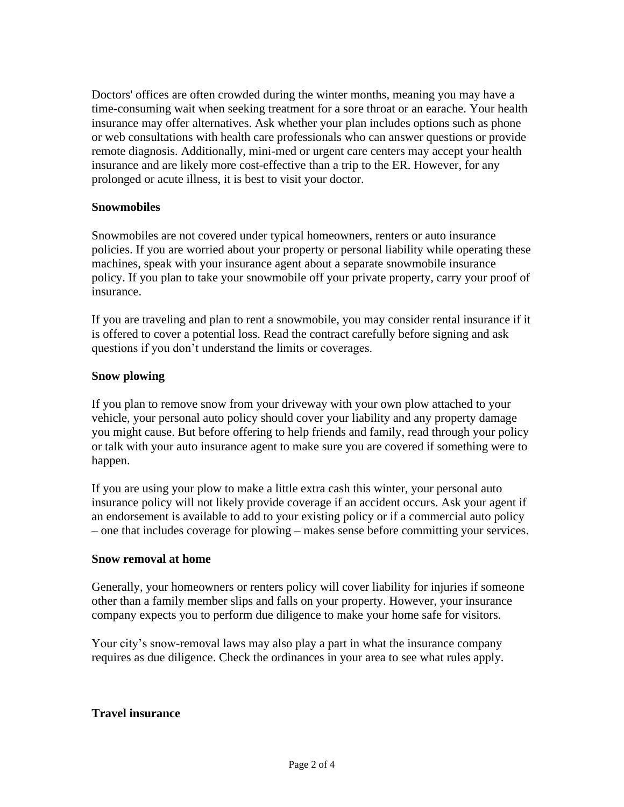Doctors' offices are often crowded during the winter months, meaning you may have a time-consuming wait when seeking treatment for a sore throat or an earache. Your health insurance may offer alternatives. Ask whether your plan includes options such as phone or web consultations with health care professionals who can answer questions or provide remote diagnosis. Additionally, mini-med or urgent care centers may accept your health insurance and are likely more cost-effective than a trip to the ER. However, for any prolonged or acute illness, it is best to visit your doctor.

#### **Snowmobiles**

Snowmobiles are not covered under typical homeowners, renters or auto insurance policies. If you are worried about your property or personal liability while operating these machines, speak with your insurance agent about a separate snowmobile insurance policy. If you plan to take your snowmobile off your private property, carry your proof of insurance.

If you are traveling and plan to rent a snowmobile, you may consider rental insurance if it is offered to cover a potential loss. Read the contract carefully before signing and ask questions if you don't understand the limits or coverages.

#### **Snow plowing**

If you plan to remove snow from your driveway with your own plow attached to your vehicle, your personal auto policy should cover your liability and any property damage you might cause. But before offering to help friends and family, read through your policy or talk with your auto insurance agent to make sure you are covered if something were to happen.

If you are using your plow to make a little extra cash this winter, your personal auto insurance policy will not likely provide coverage if an accident occurs. Ask your agent if an endorsement is available to add to your existing policy or if a commercial auto policy – one that includes coverage for plowing – makes sense before committing your services.

#### **Snow removal at home**

Generally, your homeowners or renters policy will cover liability for injuries if someone other than a family member slips and falls on your property. However, your insurance company expects you to perform due diligence to make your home safe for visitors.

Your city's snow-removal laws may also play a part in what the insurance company requires as due diligence. Check the ordinances in your area to see what rules apply.

#### **Travel insurance**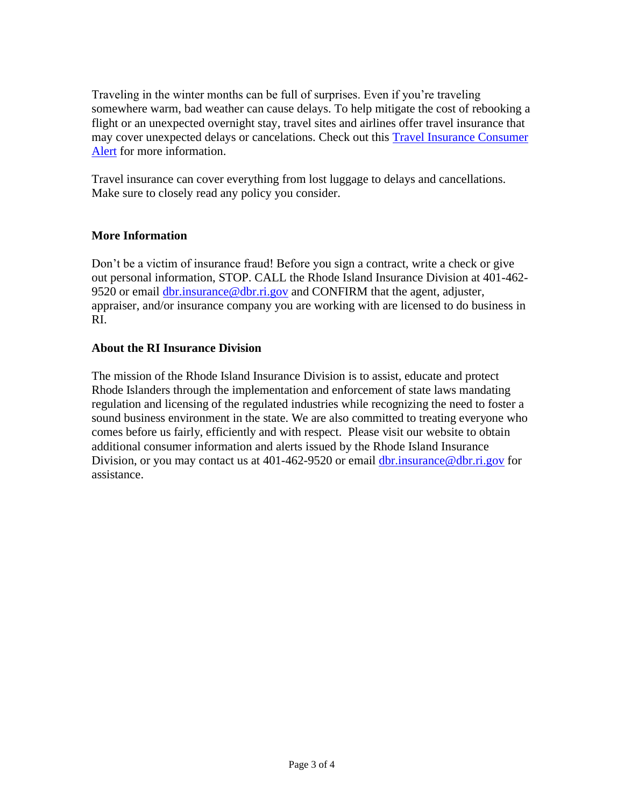Traveling in the winter months can be full of surprises. Even if you're traveling somewhere warm, bad weather can cause delays. To help mitigate the cost of rebooking a flight or an unexpected overnight stay, travel sites and airlines offer travel insurance that may cover unexpected delays or cancelations. Check out this [Travel Insurance](http://www.naic.org/documents/consumer_alert_travel_insurance_globetrotting.htm) Consumer [Alert](http://www.naic.org/documents/consumer_alert_travel_insurance_globetrotting.htm) for more information.

Travel insurance can cover everything from lost luggage to delays and cancellations. Make sure to closely read any policy you consider.

# **More Information**

Don't be a victim of insurance fraud! Before you sign a contract, write a check or give out personal information, STOP. CALL the Rhode Island Insurance Division at 401-462 9520 or email [dbr.insurance@dbr.ri.gov](mailto:dbr.insurance@dbr.ri.gov) and CONFIRM that the agent, adjuster, appraiser, and/or insurance company you are working with are licensed to do business in RI.

# **About the RI Insurance Division**

The mission of the Rhode Island Insurance Division is to assist, educate and protect Rhode Islanders through the implementation and enforcement of state laws mandating regulation and licensing of the regulated industries while recognizing the need to foster a sound business environment in the state. We are also committed to treating everyone who comes before us fairly, efficiently and with respect. Please visit our website to obtain additional consumer information and alerts issued by the Rhode Island Insurance Division, or you may contact us at 401-462-9520 or email [dbr.insurance@dbr.ri.gov](mailto:dbr.insurance@dbr.ri.gov) for assistance.